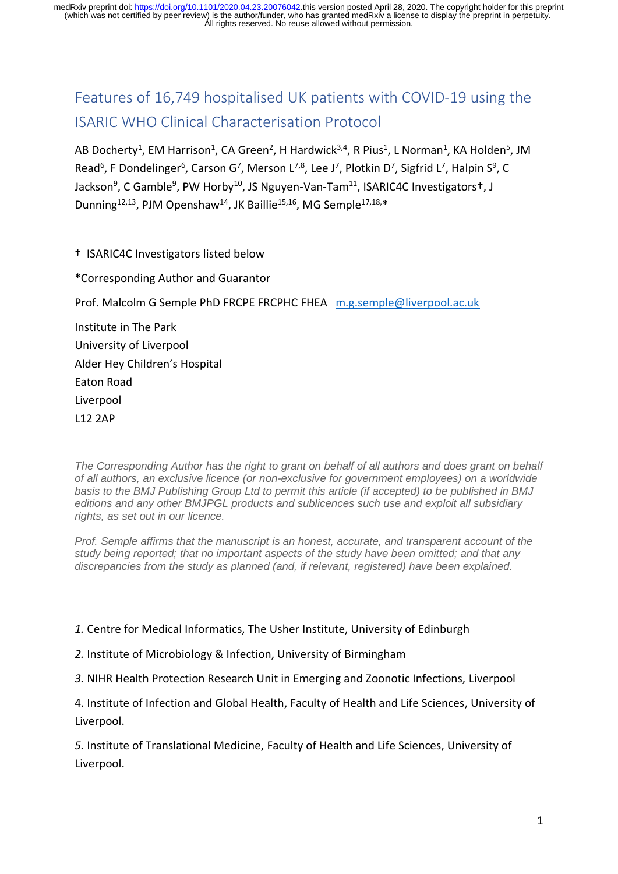# Features of 16,749 hospitalised UK patients with COVID-19 using the ISARIC WHO Clinical Characterisation Protocol

AB Docherty<sup>1</sup>, EM Harrison<sup>1</sup>, CA Green<sup>2</sup>, H Hardwick<sup>3,4</sup>, R Pius<sup>1</sup>, L Norman<sup>1</sup>, KA Holden<sup>5</sup>, JM Read<sup>6</sup>, F Dondelinger<sup>6</sup>, Carson G<sup>7</sup>, Merson L<sup>7,8</sup>, Lee J<sup>7</sup>, Plotkin D<sup>7</sup>, Sigfrid L<sup>7</sup>, Halpin S<sup>9</sup>, C Jackson<sup>9</sup>, C Gamble<sup>9</sup>, PW Horby<sup>10</sup>, JS Nguyen-Van-Tam<sup>11</sup>, ISARIC4C Investigators†, J Dunning<sup>12,13</sup>, PJM Openshaw<sup>14</sup>, JK Baillie<sup>15,16</sup>, MG Semple<sup>17,18,\*</sup>

† ISARIC4C Investigators listed below \*Corresponding Author and Guarantor Prof. Malcolm G Semple PhD FRCPE FRCPHC FHEA [m.g.semple@liverpool.ac.uk](mailto:m.g.semple@liverpool.ac.uk) Institute in The Park University of Liverpool Alder Hey Children's Hospital Eaton Road Liverpool L12 2AP

*The Corresponding Author has the right to grant on behalf of all authors and does grant on behalf of all authors, an exclusive licence (or non-exclusive for government employees) on a worldwide basis to the BMJ Publishing Group Ltd to permit this article (if accepted) to be published in BMJ editions and any other BMJPGL products and sublicences such use and exploit all subsidiary rights, as set out in our licence.*

*Prof. Semple affirms that the manuscript is an honest, accurate, and transparent account of the study being reported; that no important aspects of the study have been omitted; and that any discrepancies from the study as planned (and, if relevant, registered) have been explained.*

*1.* Centre for Medical Informatics, The Usher Institute, University of Edinburgh

*2.* Institute of Microbiology & Infection, University of Birmingham

*3.* NIHR Health Protection Research Unit in Emerging and Zoonotic Infections, Liverpool

4. Institute of Infection and Global Health, Faculty of Health and Life Sciences, University of Liverpool.

*5.* Institute of Translational Medicine, Faculty of Health and Life Sciences, University of Liverpool.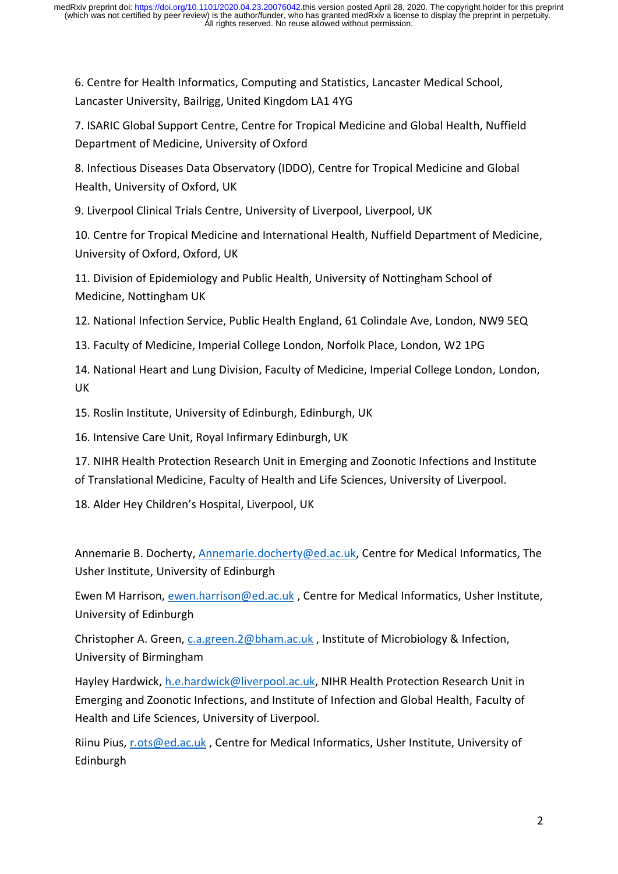6. Centre for Health Informatics, Computing and Statistics, Lancaster Medical School, Lancaster University, Bailrigg, United Kingdom LA1 4YG

7. ISARIC Global Support Centre, Centre for Tropical Medicine and Global Health, Nuffield Department of Medicine, University of Oxford

8. Infectious Diseases Data Observatory (IDDO), Centre for Tropical Medicine and Global Health, University of Oxford, UK

9. Liverpool Clinical Trials Centre, University of Liverpool, Liverpool, UK

10. Centre for Tropical Medicine and International Health, Nuffield Department of Medicine, University of Oxford, Oxford, UK

11. Division of Epidemiology and Public Health, University of Nottingham School of Medicine, Nottingham UK

12. National Infection Service, Public Health England, 61 Colindale Ave, London, NW9 5EQ

13. Faculty of Medicine, Imperial College London, Norfolk Place, London, W2 1PG

14. National Heart and Lung Division, Faculty of Medicine, Imperial College London, London, UK

15. Roslin Institute, University of Edinburgh, Edinburgh, UK

16. Intensive Care Unit, Royal Infirmary Edinburgh, UK

17. NIHR Health Protection Research Unit in Emerging and Zoonotic Infections and Institute of Translational Medicine, Faculty of Health and Life Sciences, University of Liverpool.

18. Alder Hey Children's Hospital, Liverpool, UK

Annemarie B. Docherty, [Annemarie.docherty@ed.ac.uk,](mailto:Annemarie.docherty@ed.ac.uk) Centre for Medical Informatics, The Usher Institute, University of Edinburgh

Ewen M Harrison, [ewen.harrison@ed.ac.uk](mailto:ewen.harrison@ed.ac.uk), Centre for Medical Informatics, Usher Institute, University of Edinburgh

Christopher A. Green, *c.a.green.2@bham.ac.uk*, Institute of Microbiology & Infection, University of Birmingham

Hayley Hardwick, [h.e.hardwick@liverpool.ac.uk,](mailto:h.e.hardwick@liverpool.ac.uk) NIHR Health Protection Research Unit in Emerging and Zoonotic Infections, and Institute of Infection and Global Health, Faculty of Health and Life Sciences, University of Liverpool.

Riinu Pius, [r.ots@ed.ac.uk](mailto:r.ots@ed.ac.uk), Centre for Medical Informatics, Usher Institute, University of Edinburgh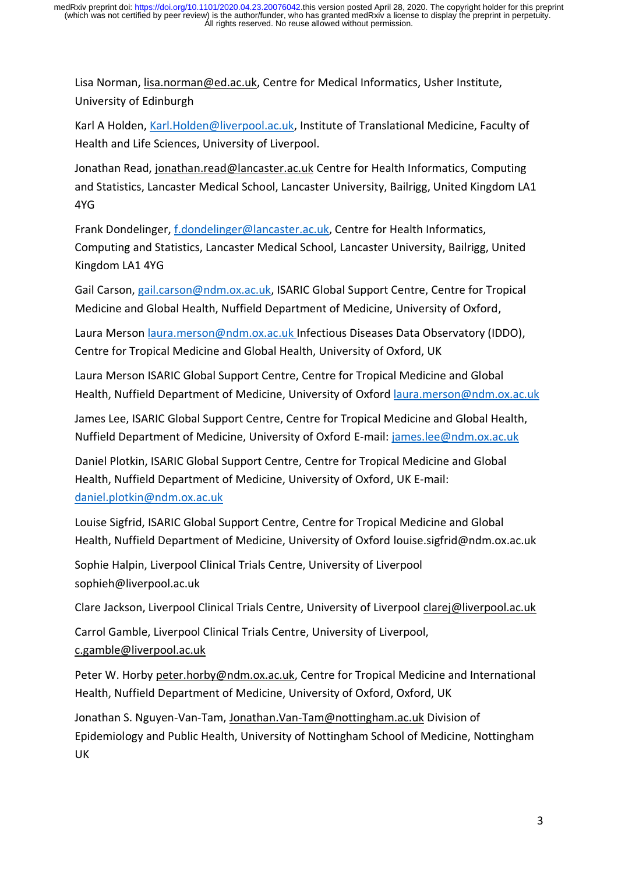Lisa Norman, [lisa.norman@ed.ac.uk,](mailto:lisa.norman@ed.ac.uk) Centre for Medical Informatics, Usher Institute, University of Edinburgh

Karl A Holden, [Karl.Holden@liverpool.ac.uk,](mailto:Karl.Holden@liverpool.ac.uk) Institute of Translational Medicine, Faculty of Health and Life Sciences, University of Liverpool.

Jonathan Read, [jonathan.read@lancaster.ac.uk](mailto:jonathan.read@lancaster.ac.uk) Centre for Health Informatics, Computing and Statistics, Lancaster Medical School, Lancaster University, Bailrigg, United Kingdom LA1 4YG

Frank Dondelinger, [f.dondelinger@lancaster.ac.uk,](mailto:f.dondelinger@lancaster.ac.uk) Centre for Health Informatics, Computing and Statistics, Lancaster Medical School, Lancaster University, Bailrigg, United Kingdom LA1 4YG

Gail Carson, [gail.carson@ndm.ox.ac.uk,](mailto:gail.carson@ndm.ox.ac.uk) ISARIC Global Support Centre, Centre for Tropical Medicine and Global Health, Nuffield Department of Medicine, University of Oxford,

Laura Merson [laura.merson@ndm.ox.ac.uk](mailto:laura.merson@ndm.ox.ac.uk) Infectious Diseases Data Observatory (IDDO), Centre for Tropical Medicine and Global Health, University of Oxford, UK

Laura Merson ISARIC Global Support Centre, Centre for Tropical Medicine and Global Health, Nuffield Department of Medicine, University of Oxford [laura.merson@ndm.ox.ac.uk](mailto:laura.merson@ndm.ox.ac.uk)

James Lee, ISARIC Global Support Centre, Centre for Tropical Medicine and Global Health, Nuffield Department of Medicine, University of Oxford E-mail: [james.lee@ndm.ox.ac.uk](mailto:james.lee@ndm.ox.ac.uk)

Daniel Plotkin, ISARIC Global Support Centre, Centre for Tropical Medicine and Global Health, Nuffield Department of Medicine, University of Oxford, UK E-mail: [daniel.plotkin@ndm.ox.ac.uk](mailto:daniel.plotkin@ndm.ox.ac.uk)

Louise Sigfrid, ISARIC Global Support Centre, Centre for Tropical Medicine and Global Health, Nuffield Department of Medicine, University of Oxford louise.sigfrid@ndm.ox.ac.uk

Sophie Halpin, Liverpool Clinical Trials Centre, University of Liverpool sophieh@liverpool.ac.uk

Clare Jackson, Liverpool Clinical Trials Centre, University of Liverpool [clarej@liverpool.ac.uk](mailto:clarej@liverpool.ac.uk)

Carrol Gamble, Liverpool Clinical Trials Centre, University of Liverpool, [c.gamble@liverpool.ac.uk](mailto:c.gamble@liverpool.ac.uk)

Peter W. Horby [peter.horby@ndm.ox.ac.uk,](mailto:peter.horby@ndm.ox.ac.uk) Centre for Tropical Medicine and International Health, Nuffield Department of Medicine, University of Oxford, Oxford, UK

Jonathan S. Nguyen-Van-Tam, Jonathan. Van-Tam@nottingham.ac.uk Division of Epidemiology and Public Health, University of Nottingham School of Medicine, Nottingham UK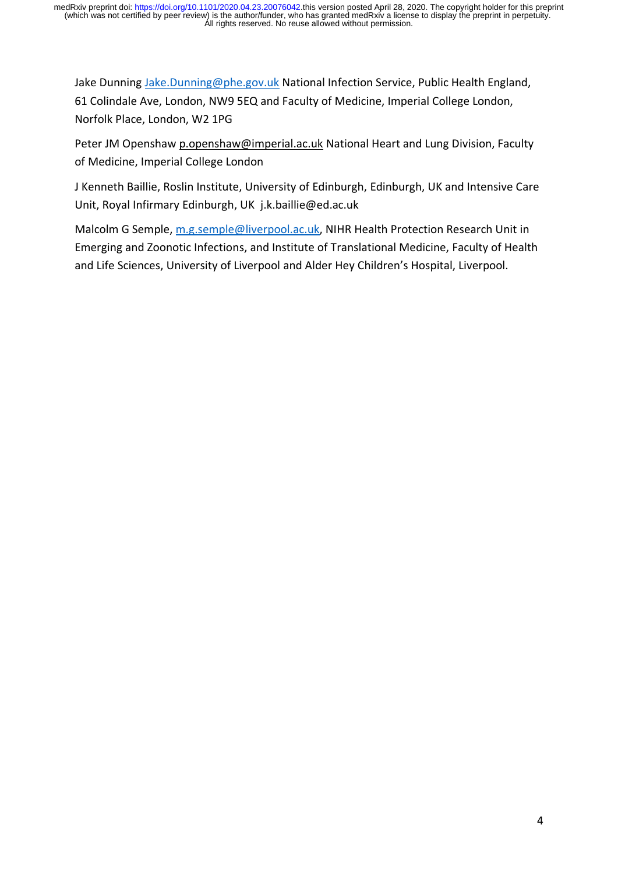Jake Dunning [Jake.Dunning@phe.gov.uk](mailto:Jake.Dunning@phe.gov.uk) National Infection Service, Public Health England, 61 Colindale Ave, London, NW9 5EQ and Faculty of Medicine, Imperial College London, Norfolk Place, London, W2 1PG

Peter JM Openshaw [p.openshaw@imperial.ac.uk](mailto:p.openshaw@imperial.ac.uk) National Heart and Lung Division, Faculty of Medicine, Imperial College London

J Kenneth Baillie, Roslin Institute, University of Edinburgh, Edinburgh, UK and Intensive Care Unit, Royal Infirmary Edinburgh, UK j.k.baillie@ed.ac.uk

Malcolm G Semple, [m.g.semple@liverpool.ac.uk,](mailto:m.g.semple@liverpool.ac.uk) NIHR Health Protection Research Unit in Emerging and Zoonotic Infections, and Institute of Translational Medicine, Faculty of Health and Life Sciences, University of Liverpool and Alder Hey Children's Hospital, Liverpool.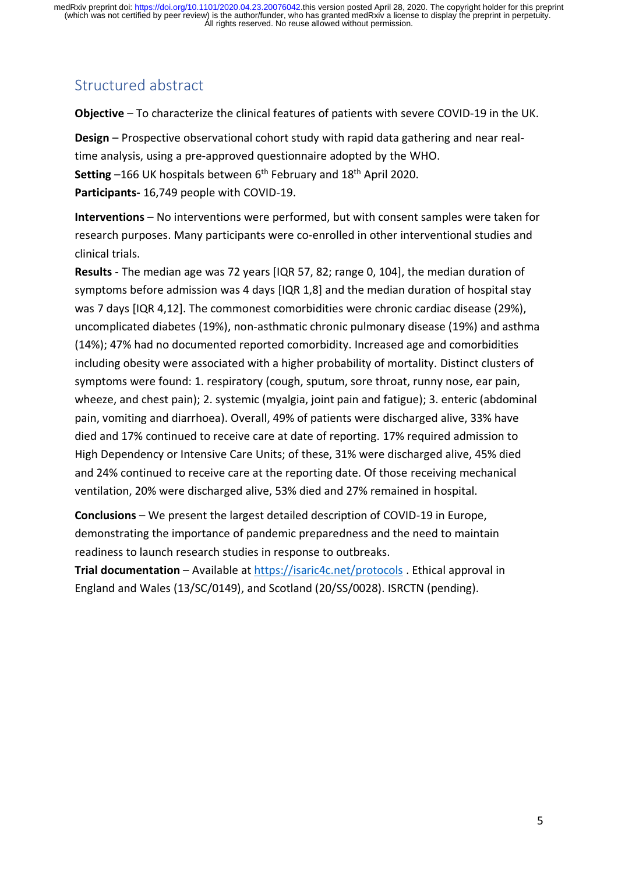### Structured abstract

**Objective** – To characterize the clinical features of patients with severe COVID-19 in the UK.

**Design** – Prospective observational cohort study with rapid data gathering and near realtime analysis, using a pre-approved questionnaire adopted by the WHO. Setting –166 UK hospitals between 6<sup>th</sup> February and 18<sup>th</sup> April 2020. **Participants-** 16,749 people with COVID-19.

**Interventions** – No interventions were performed, but with consent samples were taken for research purposes. Many participants were co-enrolled in other interventional studies and clinical trials.

**Results** - The median age was 72 years [IQR 57, 82; range 0, 104], the median duration of symptoms before admission was 4 days [IQR 1,8] and the median duration of hospital stay was 7 days [IQR 4,12]. The commonest comorbidities were chronic cardiac disease (29%), uncomplicated diabetes (19%), non-asthmatic chronic pulmonary disease (19%) and asthma (14%); 47% had no documented reported comorbidity. Increased age and comorbidities including obesity were associated with a higher probability of mortality. Distinct clusters of symptoms were found: 1. respiratory (cough, sputum, sore throat, runny nose, ear pain, wheeze, and chest pain); 2. systemic (myalgia, joint pain and fatigue); 3. enteric (abdominal pain, vomiting and diarrhoea). Overall, 49% of patients were discharged alive, 33% have died and 17% continued to receive care at date of reporting. 17% required admission to High Dependency or Intensive Care Units; of these, 31% were discharged alive, 45% died and 24% continued to receive care at the reporting date. Of those receiving mechanical ventilation, 20% were discharged alive, 53% died and 27% remained in hospital.

**Conclusions** – We present the largest detailed description of COVID-19 in Europe, demonstrating the importance of pandemic preparedness and the need to maintain readiness to launch research studies in response to outbreaks.

**Trial documentation** – Available a[t https://isaric4c.net/protocols](https://isaric4c.net/protocols) . Ethical approval in England and Wales (13/SC/0149), and Scotland (20/SS/0028). ISRCTN (pending).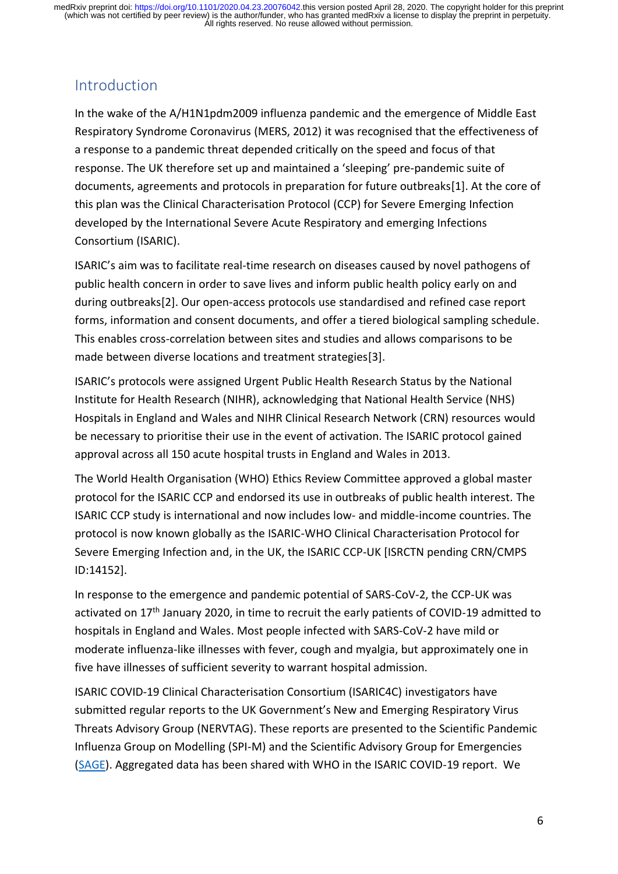### Introduction

In the wake of the A/H1N1pdm2009 influenza pandemic and the emergence of Middle East Respiratory Syndrome Coronavirus (MERS, 2012) it was recognised that the effectiveness of a response to a pandemic threat depended critically on the speed and focus of that response. The UK therefore set up and maintained a 'sleeping' pre-pandemic suite of documents, agreements and protocols in preparation for future outbreaks[1]. At the core of this plan was the Clinical Characterisation Protocol (CCP) for Severe Emerging Infection developed by the International Severe Acute Respiratory and emerging Infections Consortium (ISARIC).

ISARIC's aim was to facilitate real-time research on diseases caused by novel pathogens of public health concern in order to save lives and inform public health policy early on and during outbreaks[2]. Our open-access protocols use standardised and refined case report forms, information and consent documents, and offer a tiered biological sampling schedule. This enables cross-correlation between sites and studies and allows comparisons to be made between diverse locations and treatment strategies[3].

ISARIC's protocols were assigned Urgent Public Health Research Status by the National Institute for Health Research (NIHR), acknowledging that National Health Service (NHS) Hospitals in England and Wales and NIHR Clinical Research Network (CRN) resources would be necessary to prioritise their use in the event of activation. The ISARIC protocol gained approval across all 150 acute hospital trusts in England and Wales in 2013.

The World Health Organisation (WHO) Ethics Review Committee approved a global master protocol for the ISARIC CCP and endorsed its use in outbreaks of public health interest. The ISARIC CCP study is international and now includes low- and middle-income countries. The protocol is now known globally as the ISARIC-WHO Clinical Characterisation Protocol for Severe Emerging Infection and, in the UK, the ISARIC CCP-UK [ISRCTN pending CRN/CMPS ID:14152].

In response to the emergence and pandemic potential of SARS-CoV-2, the CCP-UK was activated on 17<sup>th</sup> January 2020, in time to recruit the early patients of COVID-19 admitted to hospitals in England and Wales. Most people infected with SARS-CoV-2 have mild or moderate influenza-like illnesses with fever, cough and myalgia, but approximately one in five have illnesses of sufficient severity to warrant hospital admission.

ISARIC COVID-19 Clinical Characterisation Consortium (ISARIC4C) investigators have submitted regular reports to the UK Government's New and Emerging Respiratory Virus Threats Advisory Group (NERVTAG). These reports are presented to the Scientific Pandemic Influenza Group on Modelling (SPI-M) and the Scientific Advisory Group for Emergencies [\(SAGE\)](https://www.gov.uk/government/groups/scientific-advisory-group-for-emergencies-sage-coronavirus-covid-19-response). Aggregated data has been shared with WHO in the ISARIC COVID-19 report. We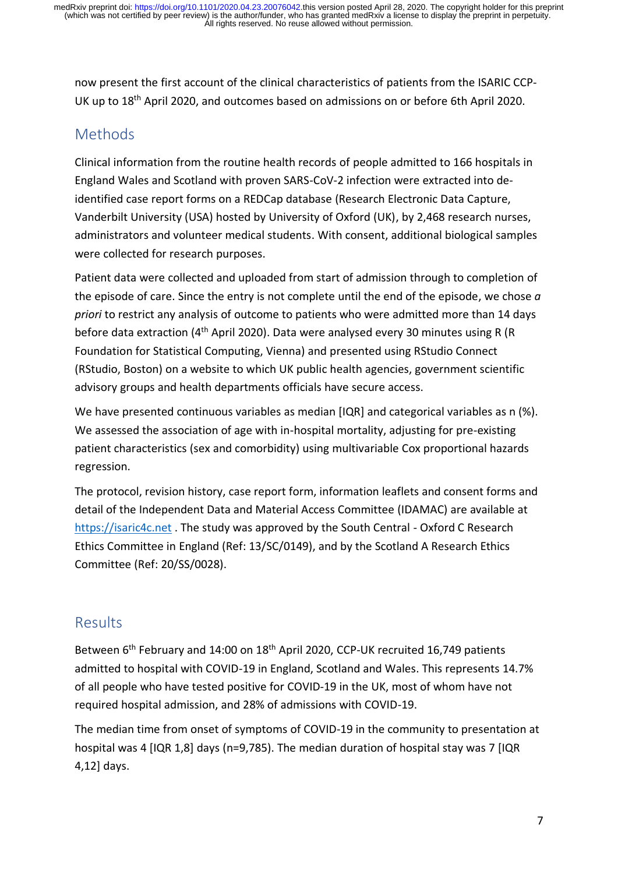now present the first account of the clinical characteristics of patients from the ISARIC CCP-UK up to 18th April 2020, and outcomes based on admissions on or before 6th April 2020.

### Methods

Clinical information from the routine health records of people admitted to 166 hospitals in England Wales and Scotland with proven SARS-CoV-2 infection were extracted into deidentified case report forms on a REDCap database (Research Electronic Data Capture, Vanderbilt University (USA) hosted by University of Oxford (UK), by 2,468 research nurses, administrators and volunteer medical students. With consent, additional biological samples were collected for research purposes.

Patient data were collected and uploaded from start of admission through to completion of the episode of care. Since the entry is not complete until the end of the episode, we chose *a priori* to restrict any analysis of outcome to patients who were admitted more than 14 days before data extraction (4<sup>th</sup> April 2020). Data were analysed every 30 minutes using R (R Foundation for Statistical Computing, Vienna) and presented using RStudio Connect (RStudio, Boston) on a website to which UK public health agencies, government scientific advisory groups and health departments officials have secure access.

We have presented continuous variables as median [IQR] and categorical variables as n (%). We assessed the association of age with in-hospital mortality, adjusting for pre-existing patient characteristics (sex and comorbidity) using multivariable Cox proportional hazards regression.

The protocol, revision history, case report form, information leaflets and consent forms and detail of the Independent Data and Material Access Committee (IDAMAC) are available at [https://isaric4c.net](https://isaric4c.net/) . The study was approved by the South Central - Oxford C Research Ethics Committee in England (Ref: 13/SC/0149), and by the Scotland A Research Ethics Committee (Ref: 20/SS/0028).

### Results

Between 6<sup>th</sup> February and 14:00 on 18<sup>th</sup> April 2020, CCP-UK recruited 16,749 patients admitted to hospital with COVID-19 in England, Scotland and Wales. This represents 14.7% of all people who have tested positive for COVID-19 in the UK, most of whom have not required hospital admission, and 28% of admissions with COVID-19.

The median time from onset of symptoms of COVID-19 in the community to presentation at hospital was 4 [IQR 1,8] days (n=9,785). The median duration of hospital stay was 7 [IQR 4,12] days.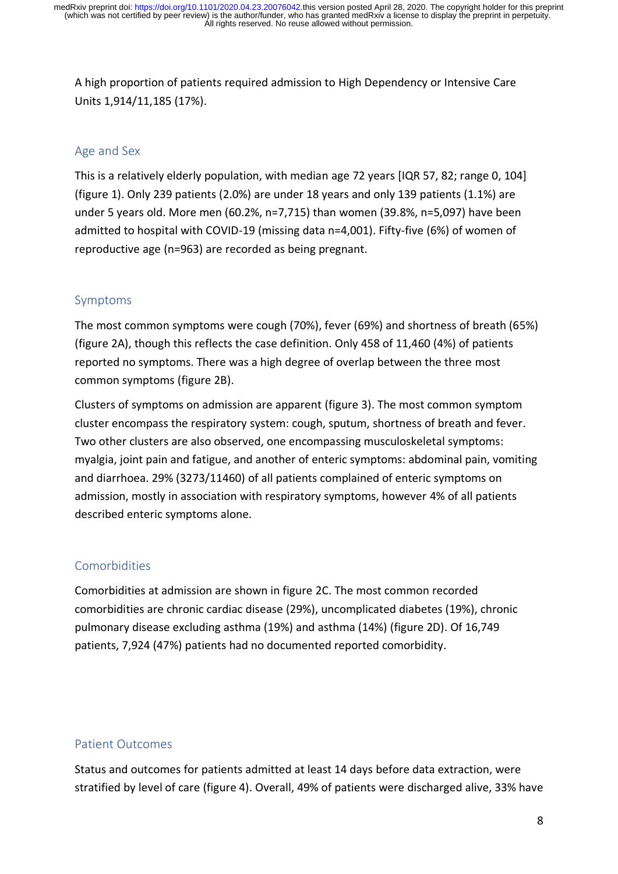A high proportion of patients required admission to High Dependency or Intensive Care Units 1,914/11,185 (17%).

#### Age and Sex

This is a relatively elderly population, with median age 72 years [IQR 57, 82; range 0, 104] (figure 1). Only 239 patients (2.0%) are under 18 years and only 139 patients (1.1%) are under 5 years old. More men (60.2%, n=7,715) than women (39.8%, n=5,097) have been admitted to hospital with COVID-19 (missing data n=4,001). Fifty-five (6%) of women of reproductive age (n=963) are recorded as being pregnant.

#### Symptoms

The most common symptoms were cough (70%), fever (69%) and shortness of breath (65%) (figure 2A), though this reflects the case definition. Only 458 of 11,460 (4%) of patients reported no symptoms. There was a high degree of overlap between the three most common symptoms (figure 2B).

Clusters of symptoms on admission are apparent (figure 3). The most common symptom cluster encompass the respiratory system: cough, sputum, shortness of breath and fever. Two other clusters are also observed, one encompassing musculoskeletal symptoms: myalgia, joint pain and fatigue, and another of enteric symptoms: abdominal pain, vomiting and diarrhoea. 29% (3273/11460) of all patients complained of enteric symptoms on admission, mostly in association with respiratory symptoms, however 4% of all patients described enteric symptoms alone.

#### Comorbidities

Comorbidities at admission are shown in figure 2C. The most common recorded comorbidities are chronic cardiac disease (29%), uncomplicated diabetes (19%), chronic pulmonary disease excluding asthma (19%) and asthma (14%) (figure 2D). Of 16,749 patients, 7,924 (47%) patients had no documented reported comorbidity.

#### Patient Outcomes

Status and outcomes for patients admitted at least 14 days before data extraction, were stratified by level of care (figure 4). Overall, 49% of patients were discharged alive, 33% have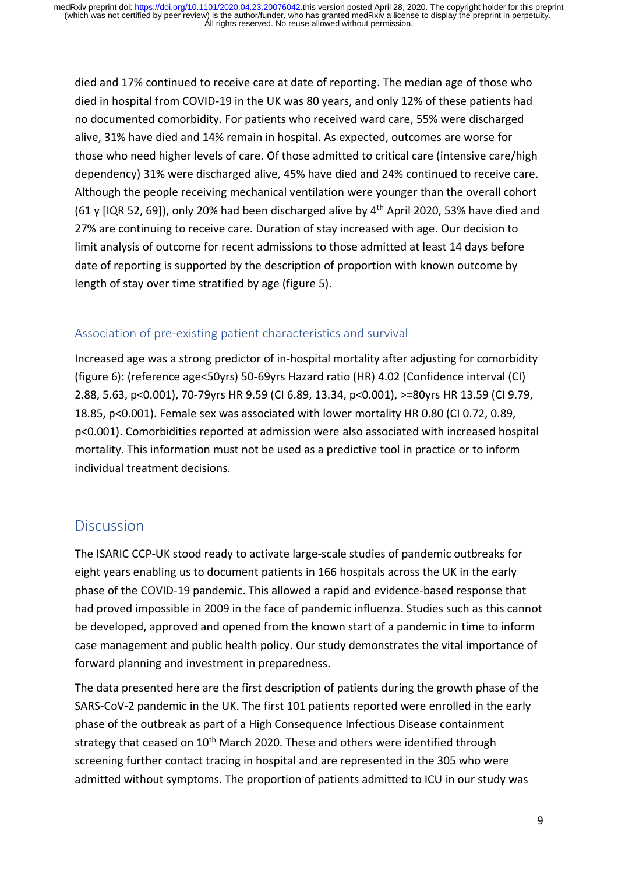died and 17% continued to receive care at date of reporting. The median age of those who died in hospital from COVID-19 in the UK was 80 years, and only 12% of these patients had no documented comorbidity. For patients who received ward care, 55% were discharged alive, 31% have died and 14% remain in hospital. As expected, outcomes are worse for those who need higher levels of care. Of those admitted to critical care (intensive care/high dependency) 31% were discharged alive, 45% have died and 24% continued to receive care. Although the people receiving mechanical ventilation were younger than the overall cohort (61 y [IQR 52, 69]), only 20% had been discharged alive by  $4<sup>th</sup>$  April 2020, 53% have died and 27% are continuing to receive care. Duration of stay increased with age. Our decision to limit analysis of outcome for recent admissions to those admitted at least 14 days before date of reporting is supported by the description of proportion with known outcome by length of stay over time stratified by age (figure 5).

#### Association of pre-existing patient characteristics and survival

Increased age was a strong predictor of in-hospital mortality after adjusting for comorbidity (figure 6): (reference age<50yrs) 50-69yrs Hazard ratio (HR) 4.02 (Confidence interval (CI) 2.88, 5.63, p<0.001), 70-79yrs HR 9.59 (CI 6.89, 13.34, p<0.001), >=80yrs HR 13.59 (CI 9.79, 18.85, p<0.001). Female sex was associated with lower mortality HR 0.80 (CI 0.72, 0.89, p<0.001). Comorbidities reported at admission were also associated with increased hospital mortality. This information must not be used as a predictive tool in practice or to inform individual treatment decisions.

### **Discussion**

The ISARIC CCP-UK stood ready to activate large-scale studies of pandemic outbreaks for eight years enabling us to document patients in 166 hospitals across the UK in the early phase of the COVID-19 pandemic. This allowed a rapid and evidence-based response that had proved impossible in 2009 in the face of pandemic influenza. Studies such as this cannot be developed, approved and opened from the known start of a pandemic in time to inform case management and public health policy. Our study demonstrates the vital importance of forward planning and investment in preparedness.

The data presented here are the first description of patients during the growth phase of the SARS-CoV-2 pandemic in the UK. The first 101 patients reported were enrolled in the early phase of the outbreak as part of a High Consequence Infectious Disease containment strategy that ceased on  $10<sup>th</sup>$  March 2020. These and others were identified through screening further contact tracing in hospital and are represented in the 305 who were admitted without symptoms. The proportion of patients admitted to ICU in our study was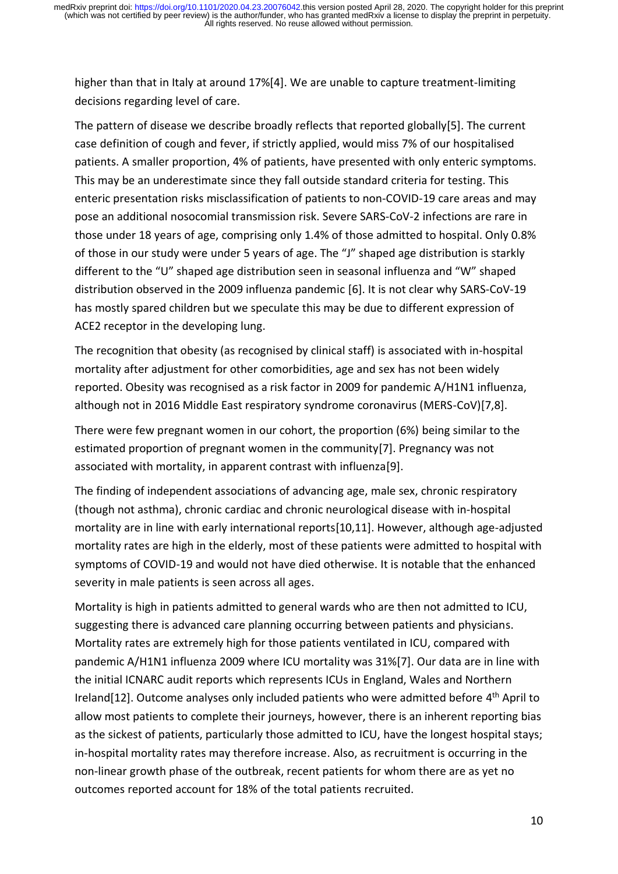higher than that in Italy at around 17%[4]. We are unable to capture treatment-limiting decisions regarding level of care.

The pattern of disease we describe broadly reflects that reported globally[5]. The current case definition of cough and fever, if strictly applied, would miss 7% of our hospitalised patients. A smaller proportion, 4% of patients, have presented with only enteric symptoms. This may be an underestimate since they fall outside standard criteria for testing. This enteric presentation risks misclassification of patients to non-COVID-19 care areas and may pose an additional nosocomial transmission risk. Severe SARS-CoV-2 infections are rare in those under 18 years of age, comprising only 1.4% of those admitted to hospital. Only 0.8% of those in our study were under 5 years of age. The "J" shaped age distribution is starkly different to the "U" shaped age distribution seen in seasonal influenza and "W" shaped distribution observed in the 2009 influenza pandemic [6]. It is not clear why SARS-CoV-19 has mostly spared children but we speculate this may be due to different expression of ACE2 receptor in the developing lung.

The recognition that obesity (as recognised by clinical staff) is associated with in-hospital mortality after adjustment for other comorbidities, age and sex has not been widely reported. Obesity was recognised as a risk factor in 2009 for pandemic A/H1N1 influenza, although not in 2016 Middle East respiratory syndrome coronavirus (MERS-CoV)[7,8].

There were few pregnant women in our cohort, the proportion (6%) being similar to the estimated proportion of pregnant women in the community[7]. Pregnancy was not associated with mortality, in apparent contrast with influenza[9].

The finding of independent associations of advancing age, male sex, chronic respiratory (though not asthma), chronic cardiac and chronic neurological disease with in-hospital mortality are in line with early international reports[10,11]. However, although age-adjusted mortality rates are high in the elderly, most of these patients were admitted to hospital with symptoms of COVID-19 and would not have died otherwise. It is notable that the enhanced severity in male patients is seen across all ages.

Mortality is high in patients admitted to general wards who are then not admitted to ICU, suggesting there is advanced care planning occurring between patients and physicians. Mortality rates are extremely high for those patients ventilated in ICU, compared with pandemic A/H1N1 influenza 2009 where ICU mortality was 31%[7]. Our data are in line with the initial ICNARC audit reports which represents ICUs in England, Wales and Northern Ireland[12]. Outcome analyses only included patients who were admitted before 4<sup>th</sup> April to allow most patients to complete their journeys, however, there is an inherent reporting bias as the sickest of patients, particularly those admitted to ICU, have the longest hospital stays; in-hospital mortality rates may therefore increase. Also, as recruitment is occurring in the non-linear growth phase of the outbreak, recent patients for whom there are as yet no outcomes reported account for 18% of the total patients recruited.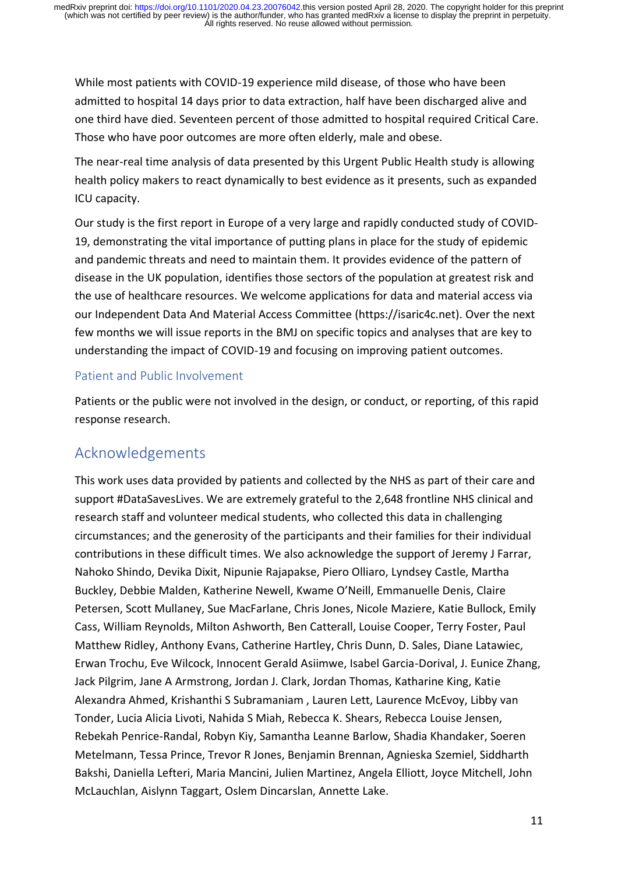While most patients with COVID-19 experience mild disease, of those who have been admitted to hospital 14 days prior to data extraction, half have been discharged alive and one third have died. Seventeen percent of those admitted to hospital required Critical Care. Those who have poor outcomes are more often elderly, male and obese.

The near-real time analysis of data presented by this Urgent Public Health study is allowing health policy makers to react dynamically to best evidence as it presents, such as expanded ICU capacity.

Our study is the first report in Europe of a very large and rapidly conducted study of COVID-19, demonstrating the vital importance of putting plans in place for the study of epidemic and pandemic threats and need to maintain them. It provides evidence of the pattern of disease in the UK population, identifies those sectors of the population at greatest risk and the use of healthcare resources. We welcome applications for data and material access via our Independent Data And Material Access Committee (https://isaric4c.net). Over the next few months we will issue reports in the BMJ on specific topics and analyses that are key to understanding the impact of COVID-19 and focusing on improving patient outcomes.

#### Patient and Public Involvement

Patients or the public were not involved in the design, or conduct, or reporting, of this rapid response research.

### Acknowledgements

This work uses data provided by patients and collected by the NHS as part of their care and support #DataSavesLives. We are extremely grateful to the 2,648 frontline NHS clinical and research staff and volunteer medical students, who collected this data in challenging circumstances; and the generosity of the participants and their families for their individual contributions in these difficult times. We also acknowledge the support of Jeremy J Farrar, Nahoko Shindo, Devika Dixit, Nipunie Rajapakse, Piero Olliaro, Lyndsey Castle, Martha Buckley, Debbie Malden, Katherine Newell, Kwame O'Neill, Emmanuelle Denis, Claire Petersen, Scott Mullaney, Sue MacFarlane, Chris Jones, Nicole Maziere, Katie Bullock, Emily Cass, William Reynolds, Milton Ashworth, Ben Catterall, Louise Cooper, Terry Foster, Paul Matthew Ridley, Anthony Evans, Catherine Hartley, Chris Dunn, D. Sales, Diane Latawiec, Erwan Trochu, Eve Wilcock, Innocent Gerald Asiimwe, Isabel Garcia-Dorival, J. Eunice Zhang, Jack Pilgrim, Jane A Armstrong, Jordan J. Clark, Jordan Thomas, Katharine King, Katie Alexandra Ahmed, Krishanthi S Subramaniam , Lauren Lett, Laurence McEvoy, Libby van Tonder, Lucia Alicia Livoti, Nahida S Miah, Rebecca K. Shears, Rebecca Louise Jensen, Rebekah Penrice-Randal, Robyn Kiy, Samantha Leanne Barlow, Shadia Khandaker, Soeren Metelmann, Tessa Prince, Trevor R Jones, Benjamin Brennan, Agnieska Szemiel, Siddharth Bakshi, Daniella Lefteri, Maria Mancini, Julien Martinez, Angela Elliott, Joyce Mitchell, John McLauchlan, Aislynn Taggart, Oslem Dincarslan, Annette Lake.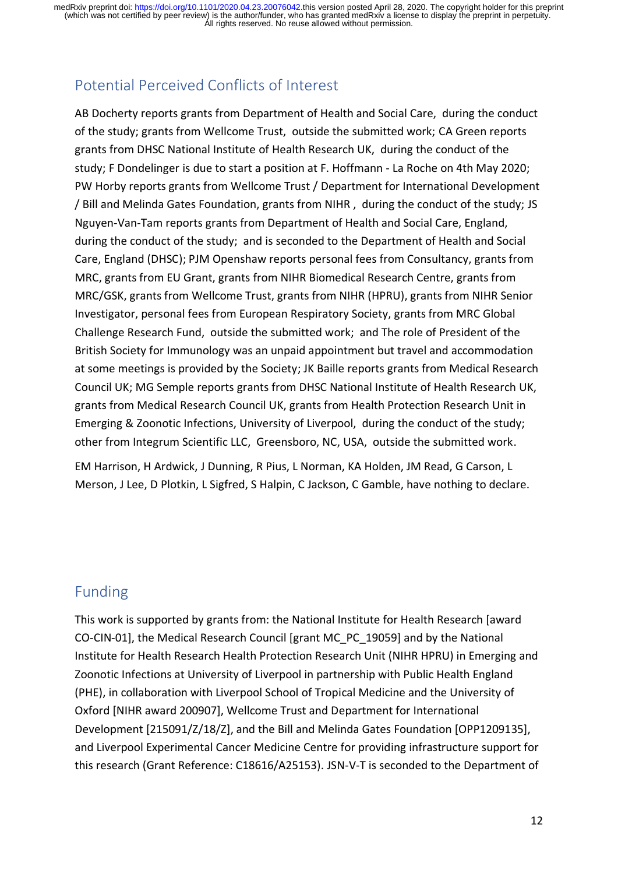# Potential Perceived Conflicts of Interest

AB Docherty reports grants from Department of Health and Social Care, during the conduct of the study; grants from Wellcome Trust, outside the submitted work; CA Green reports grants from DHSC National Institute of Health Research UK, during the conduct of the study; F Dondelinger is due to start a position at F. Hoffmann - La Roche on 4th May 2020; PW Horby reports grants from Wellcome Trust / Department for International Development / Bill and Melinda Gates Foundation, grants from NIHR , during the conduct of the study; JS Nguyen-Van-Tam reports grants from Department of Health and Social Care, England, during the conduct of the study; and is seconded to the Department of Health and Social Care, England (DHSC); PJM Openshaw reports personal fees from Consultancy, grants from MRC, grants from EU Grant, grants from NIHR Biomedical Research Centre, grants from MRC/GSK, grants from Wellcome Trust, grants from NIHR (HPRU), grants from NIHR Senior Investigator, personal fees from European Respiratory Society, grants from MRC Global Challenge Research Fund, outside the submitted work; and The role of President of the British Society for Immunology was an unpaid appointment but travel and accommodation at some meetings is provided by the Society; JK Baille reports grants from Medical Research Council UK; MG Semple reports grants from DHSC National Institute of Health Research UK, grants from Medical Research Council UK, grants from Health Protection Research Unit in Emerging & Zoonotic Infections, University of Liverpool, during the conduct of the study; other from Integrum Scientific LLC, Greensboro, NC, USA, outside the submitted work.

EM Harrison, H Ardwick, J Dunning, R Pius, L Norman, KA Holden, JM Read, G Carson, L Merson, J Lee, D Plotkin, L Sigfred, S Halpin, C Jackson, C Gamble, have nothing to declare.

# Funding

This work is supported by grants from: the National Institute for Health Research [award CO-CIN-01], the Medical Research Council [grant MC\_PC\_19059] and by the National Institute for Health Research Health Protection Research Unit (NIHR HPRU) in Emerging and Zoonotic Infections at University of Liverpool in partnership with Public Health England (PHE), in collaboration with Liverpool School of Tropical Medicine and the University of Oxford [NIHR award 200907], Wellcome Trust and Department for International Development [215091/Z/18/Z], and the Bill and Melinda Gates Foundation [OPP1209135], and Liverpool Experimental Cancer Medicine Centre for providing infrastructure support for this research (Grant Reference: C18616/A25153). JSN-V-T is seconded to the Department of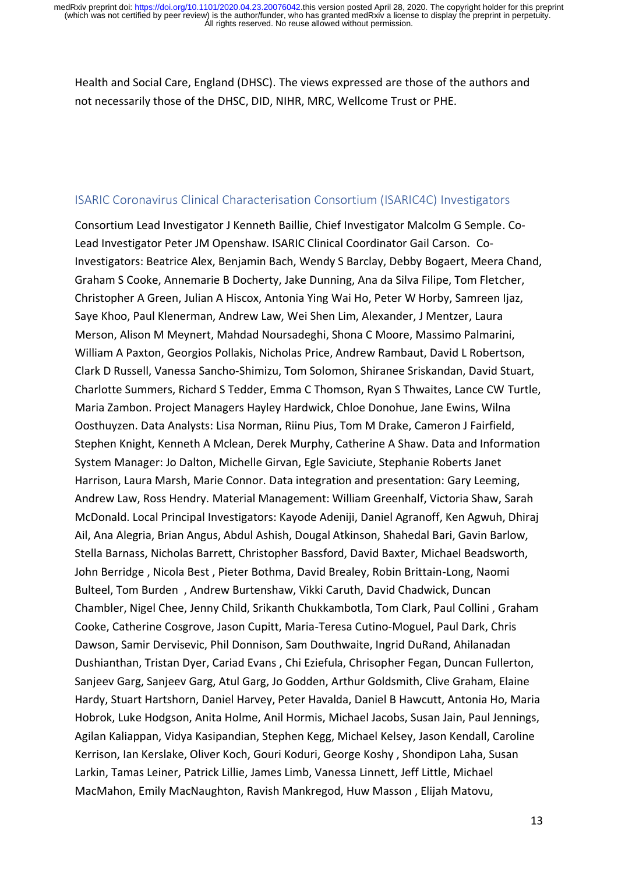Health and Social Care, England (DHSC). The views expressed are those of the authors and not necessarily those of the DHSC, DID, NIHR, MRC, Wellcome Trust or PHE.

#### ISARIC Coronavirus Clinical Characterisation Consortium (ISARIC4C) Investigators

Consortium Lead Investigator J Kenneth Baillie, Chief Investigator Malcolm G Semple. Co-Lead Investigator Peter JM Openshaw. ISARIC Clinical Coordinator Gail Carson. Co-Investigators: Beatrice Alex, Benjamin Bach, Wendy S Barclay, Debby Bogaert, Meera Chand, Graham S Cooke, Annemarie B Docherty, Jake Dunning, Ana da Silva Filipe, Tom Fletcher, Christopher A Green, Julian A Hiscox, Antonia Ying Wai Ho, Peter W Horby, Samreen Ijaz, Saye Khoo, Paul Klenerman, Andrew Law, Wei Shen Lim, Alexander, J Mentzer, Laura Merson, Alison M Meynert, Mahdad Noursadeghi, Shona C Moore, Massimo Palmarini, William A Paxton, Georgios Pollakis, Nicholas Price, Andrew Rambaut, David L Robertson, Clark D Russell, Vanessa Sancho-Shimizu, Tom Solomon, Shiranee Sriskandan, David Stuart, Charlotte Summers, Richard S Tedder, Emma C Thomson, Ryan S Thwaites, Lance CW Turtle, Maria Zambon. Project Managers Hayley Hardwick, Chloe Donohue, Jane Ewins, Wilna Oosthuyzen. Data Analysts: Lisa Norman, Riinu Pius, Tom M Drake, Cameron J Fairfield, Stephen Knight, Kenneth A Mclean, Derek Murphy, Catherine A Shaw. Data and Information System Manager: Jo Dalton, Michelle Girvan, Egle Saviciute, Stephanie Roberts Janet Harrison, Laura Marsh, Marie Connor. Data integration and presentation: Gary Leeming, Andrew Law, Ross Hendry. Material Management: William Greenhalf, Victoria Shaw, Sarah McDonald. Local Principal Investigators: Kayode Adeniji, Daniel Agranoff, Ken Agwuh, Dhiraj Ail, Ana Alegria, Brian Angus, Abdul Ashish, Dougal Atkinson, Shahedal Bari, Gavin Barlow, Stella Barnass, Nicholas Barrett, Christopher Bassford, David Baxter, Michael Beadsworth, John Berridge , Nicola Best , Pieter Bothma, David Brealey, Robin Brittain-Long, Naomi Bulteel, Tom Burden , Andrew Burtenshaw, Vikki Caruth, David Chadwick, Duncan Chambler, Nigel Chee, Jenny Child, Srikanth Chukkambotla, Tom Clark, Paul Collini , Graham Cooke, Catherine Cosgrove, Jason Cupitt, Maria-Teresa Cutino-Moguel, Paul Dark, Chris Dawson, Samir Dervisevic, Phil Donnison, Sam Douthwaite, Ingrid DuRand, Ahilanadan Dushianthan, Tristan Dyer, Cariad Evans , Chi Eziefula, Chrisopher Fegan, Duncan Fullerton, Sanjeev Garg, Sanjeev Garg, Atul Garg, Jo Godden, Arthur Goldsmith, Clive Graham, Elaine Hardy, Stuart Hartshorn, Daniel Harvey, Peter Havalda, Daniel B Hawcutt, Antonia Ho, Maria Hobrok, Luke Hodgson, Anita Holme, Anil Hormis, Michael Jacobs, Susan Jain, Paul Jennings, Agilan Kaliappan, Vidya Kasipandian, Stephen Kegg, Michael Kelsey, Jason Kendall, Caroline Kerrison, Ian Kerslake, Oliver Koch, Gouri Koduri, George Koshy , Shondipon Laha, Susan Larkin, Tamas Leiner, Patrick Lillie, James Limb, Vanessa Linnett, Jeff Little, Michael MacMahon, Emily MacNaughton, Ravish Mankregod, Huw Masson , Elijah Matovu,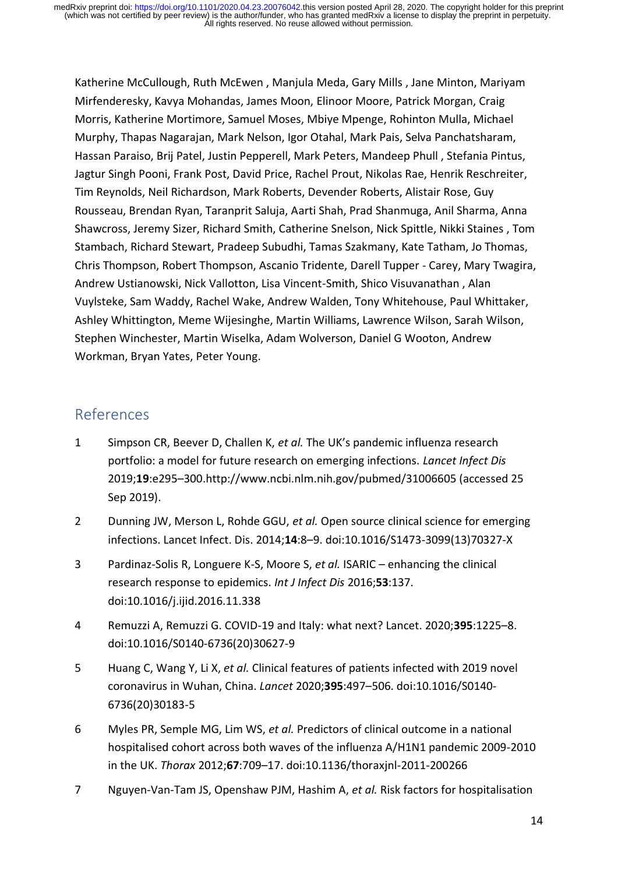Katherine McCullough, Ruth McEwen , Manjula Meda, Gary Mills , Jane Minton, Mariyam Mirfenderesky, Kavya Mohandas, James Moon, Elinoor Moore, Patrick Morgan, Craig Morris, Katherine Mortimore, Samuel Moses, Mbiye Mpenge, Rohinton Mulla, Michael Murphy, Thapas Nagarajan, Mark Nelson, Igor Otahal, Mark Pais, Selva Panchatsharam, Hassan Paraiso, Brij Patel, Justin Pepperell, Mark Peters, Mandeep Phull , Stefania Pintus, Jagtur Singh Pooni, Frank Post, David Price, Rachel Prout, Nikolas Rae, Henrik Reschreiter, Tim Reynolds, Neil Richardson, Mark Roberts, Devender Roberts, Alistair Rose, Guy Rousseau, Brendan Ryan, Taranprit Saluja, Aarti Shah, Prad Shanmuga, Anil Sharma, Anna Shawcross, Jeremy Sizer, Richard Smith, Catherine Snelson, Nick Spittle, Nikki Staines , Tom Stambach, Richard Stewart, Pradeep Subudhi, Tamas Szakmany, Kate Tatham, Jo Thomas, Chris Thompson, Robert Thompson, Ascanio Tridente, Darell Tupper - Carey, Mary Twagira, Andrew Ustianowski, Nick Vallotton, Lisa Vincent-Smith, Shico Visuvanathan , Alan Vuylsteke, Sam Waddy, Rachel Wake, Andrew Walden, Tony Whitehouse, Paul Whittaker, Ashley Whittington, Meme Wijesinghe, Martin Williams, Lawrence Wilson, Sarah Wilson, Stephen Winchester, Martin Wiselka, Adam Wolverson, Daniel G Wooton, Andrew Workman, Bryan Yates, Peter Young.

### References

- 1 Simpson CR, Beever D, Challen K, *et al.* The UK's pandemic influenza research portfolio: a model for future research on emerging infections. *Lancet Infect Dis* 2019;**19**:e295–300.http://www.ncbi.nlm.nih.gov/pubmed/31006605 (accessed 25 Sep 2019).
- 2 Dunning JW, Merson L, Rohde GGU, *et al.* Open source clinical science for emerging infections. Lancet Infect. Dis. 2014;**14**:8–9. doi:10.1016/S1473-3099(13)70327-X
- 3 Pardinaz-Solis R, Longuere K-S, Moore S, *et al.* ISARIC enhancing the clinical research response to epidemics. *Int J Infect Dis* 2016;**53**:137. doi:10.1016/j.ijid.2016.11.338
- 4 Remuzzi A, Remuzzi G. COVID-19 and Italy: what next? Lancet. 2020;**395**:1225–8. doi:10.1016/S0140-6736(20)30627-9
- 5 Huang C, Wang Y, Li X, *et al.* Clinical features of patients infected with 2019 novel coronavirus in Wuhan, China. *Lancet* 2020;**395**:497–506. doi:10.1016/S0140- 6736(20)30183-5
- 6 Myles PR, Semple MG, Lim WS, *et al.* Predictors of clinical outcome in a national hospitalised cohort across both waves of the influenza A/H1N1 pandemic 2009-2010 in the UK. *Thorax* 2012;**67**:709–17. doi:10.1136/thoraxjnl-2011-200266
- 7 Nguyen-Van-Tam JS, Openshaw PJM, Hashim A, *et al.* Risk factors for hospitalisation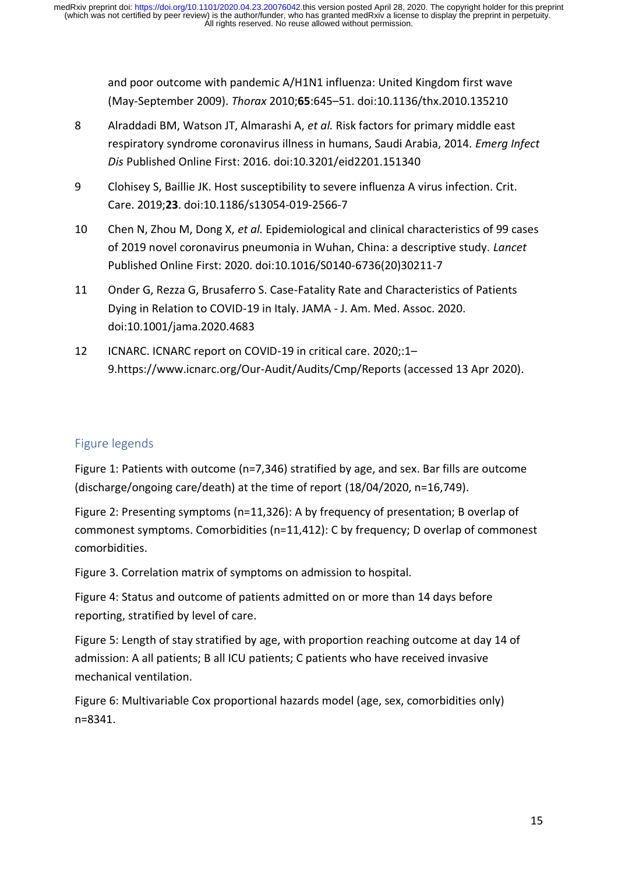and poor outcome with pandemic A/H1N1 influenza: United Kingdom first wave (May-September 2009). *Thorax* 2010;**65**:645–51. doi:10.1136/thx.2010.135210

- 8 Alraddadi BM, Watson JT, Almarashi A, *et al.* Risk factors for primary middle east respiratory syndrome coronavirus illness in humans, Saudi Arabia, 2014. *Emerg Infect Dis* Published Online First: 2016. doi:10.3201/eid2201.151340
- 9 Clohisey S, Baillie JK. Host susceptibility to severe influenza A virus infection. Crit. Care. 2019;**23**. doi:10.1186/s13054-019-2566-7
- 10 Chen N, Zhou M, Dong X, *et al.* Epidemiological and clinical characteristics of 99 cases of 2019 novel coronavirus pneumonia in Wuhan, China: a descriptive study. *Lancet* Published Online First: 2020. doi:10.1016/S0140-6736(20)30211-7
- 11 Onder G, Rezza G, Brusaferro S. Case-Fatality Rate and Characteristics of Patients Dying in Relation to COVID-19 in Italy. JAMA - J. Am. Med. Assoc. 2020. doi:10.1001/jama.2020.4683
- 12 ICNARC. ICNARC report on COVID-19 in critical care. 2020;:1– 9.https://www.icnarc.org/Our-Audit/Audits/Cmp/Reports (accessed 13 Apr 2020).

### Figure legends

Figure 1: Patients with outcome (n=7,346) stratified by age, and sex. Bar fills are outcome (discharge/ongoing care/death) at the time of report (18/04/2020, n=16,749).

Figure 2: Presenting symptoms (n=11,326): A by frequency of presentation; B overlap of commonest symptoms. Comorbidities (n=11,412): C by frequency; D overlap of commonest comorbidities.

Figure 3. Correlation matrix of symptoms on admission to hospital.

Figure 4: Status and outcome of patients admitted on or more than 14 days before reporting, stratified by level of care.

Figure 5: Length of stay stratified by age, with proportion reaching outcome at day 14 of admission: A all patients; B all ICU patients; C patients who have received invasive mechanical ventilation.

Figure 6: Multivariable Cox proportional hazards model (age, sex, comorbidities only) n=8341.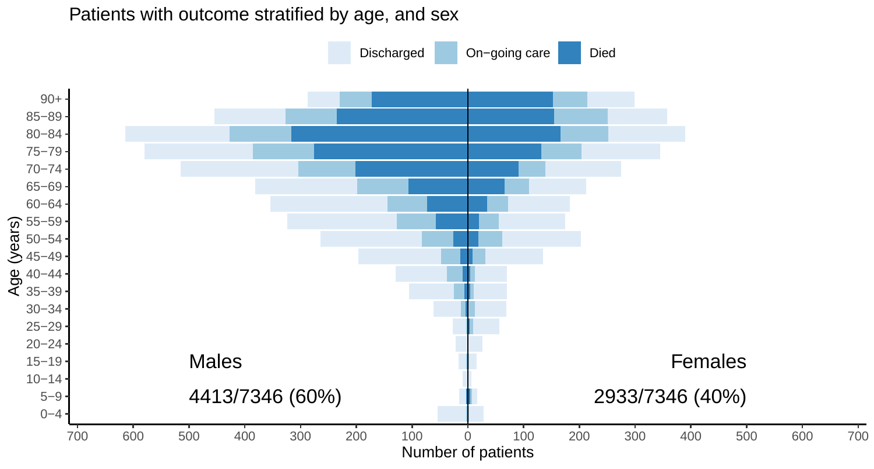Patients with outcome stratified by age, and sex

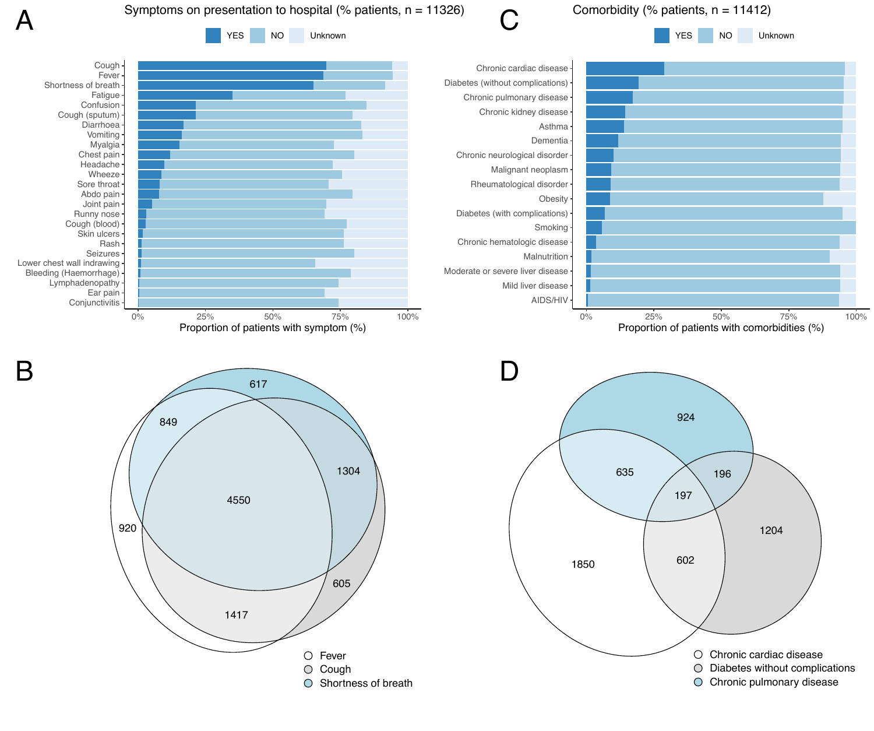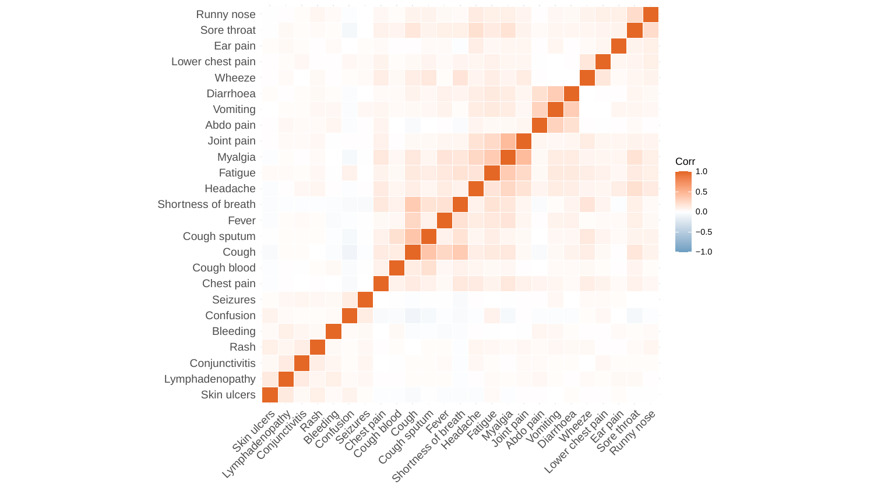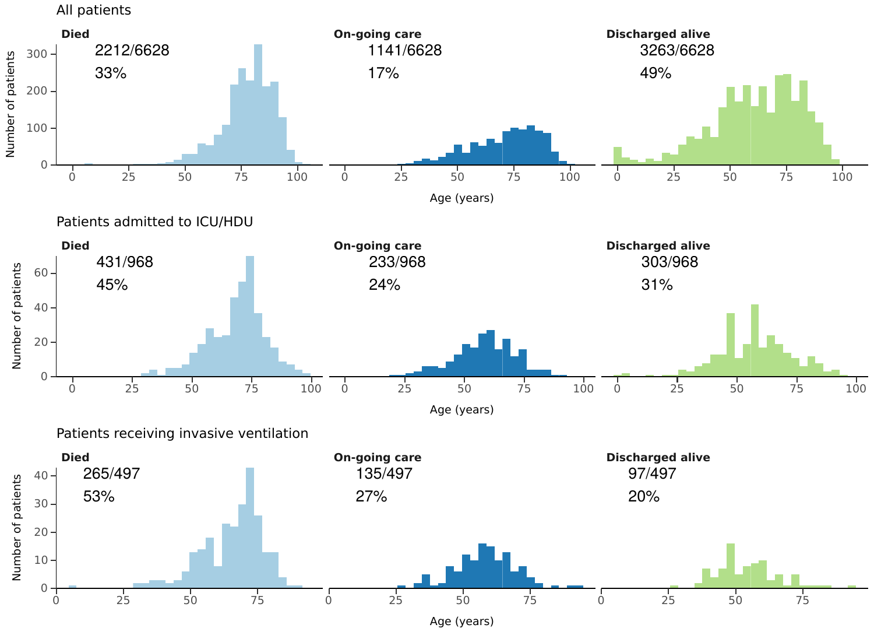

Age (years)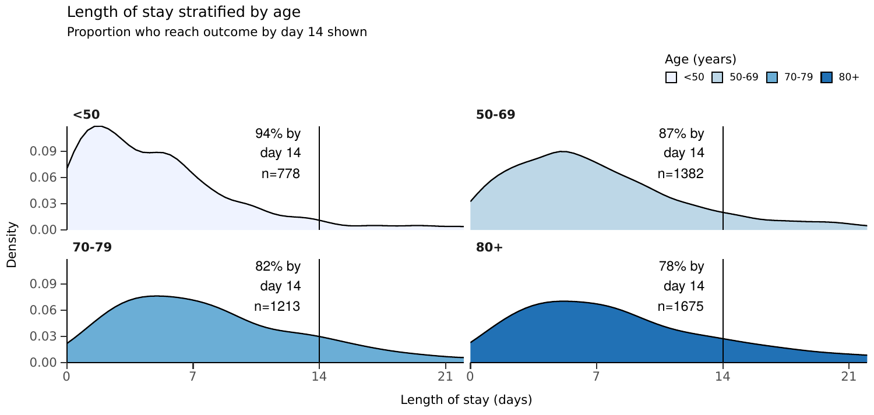Proportion who reach outcome by day 14 shown Length of stay stratified by age



Length of stay (days)